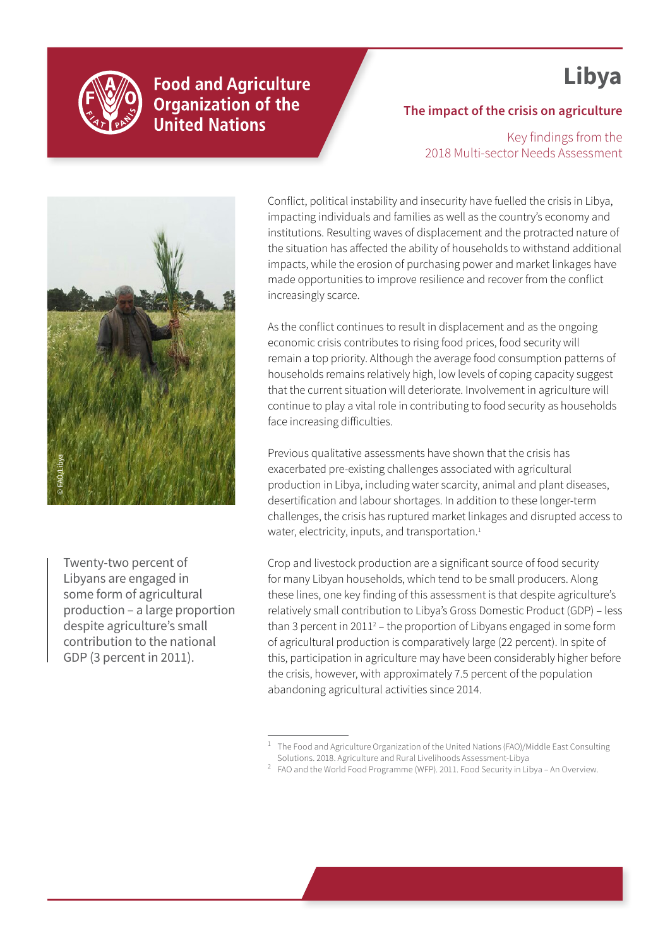

**Food and Agriculture Organization of the United Nations** 

# **Libya**

## **The impact of the crisis on agriculture**

Key findings from the 2018 Multi-sector Needs Assessment



Twenty-two percent of Libyans are engaged in some form of agricultural production – a large proportion despite agriculture's small contribution to the national GDP (3 percent in 2011).

Conflict, political instability and insecurity have fuelled the crisis in Libya, impacting individuals and families as well as the country's economy and institutions. Resulting waves of displacement and the protracted nature of the situation has affected the ability of households to withstand additional impacts, while the erosion of purchasing power and market linkages have made opportunities to improve resilience and recover from the conflict increasingly scarce.

As the conflict continues to result in displacement and as the ongoing economic crisis contributes to rising food prices, food security will remain a top priority. Although the average food consumption patterns of households remains relatively high, low levels of coping capacity suggest that the current situation will deteriorate. Involvement in agriculture will continue to play a vital role in contributing to food security as households face increasing difficulties.

Previous qualitative assessments have shown that the crisis has exacerbated pre-existing challenges associated with agricultural production in Libya, including water scarcity, animal and plant diseases, desertification and labour shortages. In addition to these longer-term challenges, the crisis has ruptured market linkages and disrupted access to water, electricity, inputs, and transportation.<sup>1</sup>

Crop and livestock production are a significant source of food security for many Libyan households, which tend to be small producers. Along these lines, one key finding of this assessment is that despite agriculture's relatively small contribution to Libya's Gross Domestic Product (GDP) – less than 3 percent in 2011<sup>2</sup> – the proportion of Libyans engaged in some form of agricultural production is comparatively large (22 percent). In spite of this, participation in agriculture may have been considerably higher before the crisis, however, with approximately 7.5 percent of the population abandoning agricultural activities since 2014.

<sup>1</sup> The Food and Agriculture Organization of the United Nations (FAO)/Middle East Consulting Solutions. 2018. Agriculture and Rural Livelihoods Assessment-Libya

 $2$  FAO and the World Food Programme (WFP). 2011. Food Security in Libya - An Overview.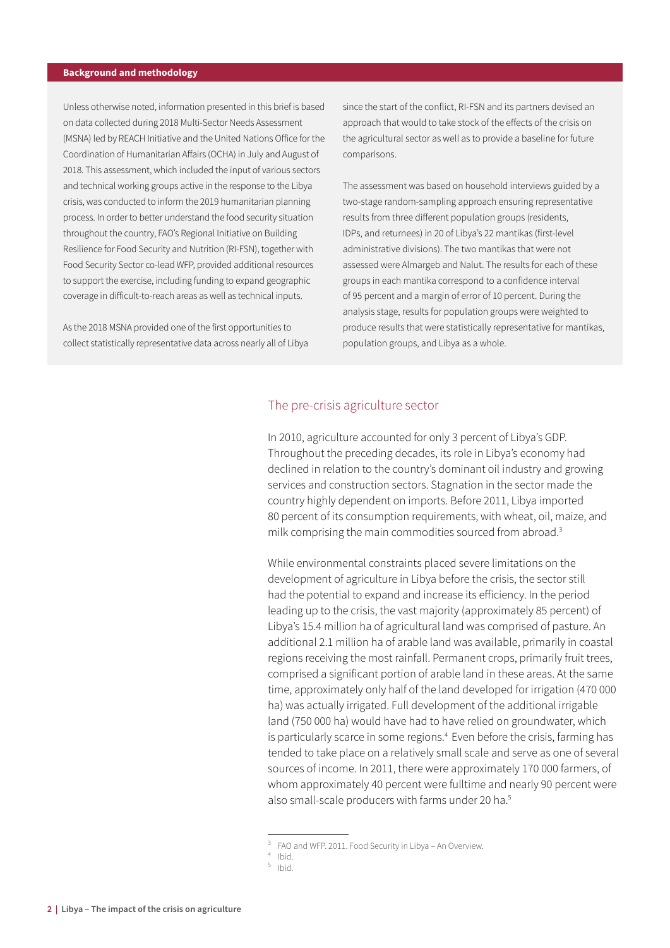#### **Background and methodology**

Unless otherwise noted, information presented in this brief is based on data collected during 2018 Multi-Sector Needs Assessment (MSNA) led by REACH Initiative and the United Nations Office for the Coordination of Humanitarian Affairs (OCHA) in July and August of 2018. This assessment, which included the input of various sectors and technical working groups active in the response to the Libya crisis, was conducted to inform the 2019 humanitarian planning process. In order to better understand the food security situation throughout the country, FAO's Regional Initiative on Building Resilience for Food Security and Nutrition (RI-FSN), together with Food Security Sector co-lead WFP, provided additional resources to support the exercise, including funding to expand geographic coverage in difficult-to-reach areas as well as technical inputs.

As the 2018 MSNA provided one of the first opportunities to collect statistically representative data across nearly all of Libya since the start of the conflict, RI-FSN and its partners devised an approach that would to take stock of the effects of the crisis on the agricultural sector as well as to provide a baseline for future comparisons.

The assessment was based on household interviews guided by a two-stage random-sampling approach ensuring representative results from three different population groups (residents, IDPs, and returnees) in 20 of Libya's 22 mantikas (first-level administrative divisions). The two mantikas that were not assessed were Almargeb and Nalut. The results for each of these groups in each mantika correspond to a confidence interval of 95 percent and a margin of error of 10 percent. During the analysis stage, results for population groups were weighted to produce results that were statistically representative for mantikas, population groups, and Libya as a whole.

#### The pre-crisis agriculture sector

In 2010, agriculture accounted for only 3 percent of Libya's GDP. Throughout the preceding decades, its role in Libya's economy had declined in relation to the country's dominant oil industry and growing services and construction sectors. Stagnation in the sector made the country highly dependent on imports. Before 2011, Libya imported 80 percent of its consumption requirements, with wheat, oil, maize, and milk comprising the main commodities sourced from abroad.<sup>3</sup>

While environmental constraints placed severe limitations on the development of agriculture in Libya before the crisis, the sector still had the potential to expand and increase its efficiency. In the period leading up to the crisis, the vast majority (approximately 85 percent) of Libya's 15.4 million ha of agricultural land was comprised of pasture. An additional 2.1 million ha of arable land was available, primarily in coastal regions receiving the most rainfall. Permanent crops, primarily fruit trees, comprised a significant portion of arable land in these areas. At the same time, approximately only half of the land developed for irrigation (470 000 ha) was actually irrigated. Full development of the additional irrigable land (750 000 ha) would have had to have relied on groundwater, which is particularly scarce in some regions.<sup>4</sup> Even before the crisis, farming has tended to take place on a relatively small scale and serve as one of several sources of income. In 2011, there were approximately 170 000 farmers, of whom approximately 40 percent were fulltime and nearly 90 percent were also small-scale producers with farms under 20 ha.<sup>5</sup>

<sup>&</sup>lt;sup>3</sup> FAO and WFP. 2011. Food Security in Libya – An Overview.<br><sup>4</sup> Ibid.<br><sup>5</sup> Ibid.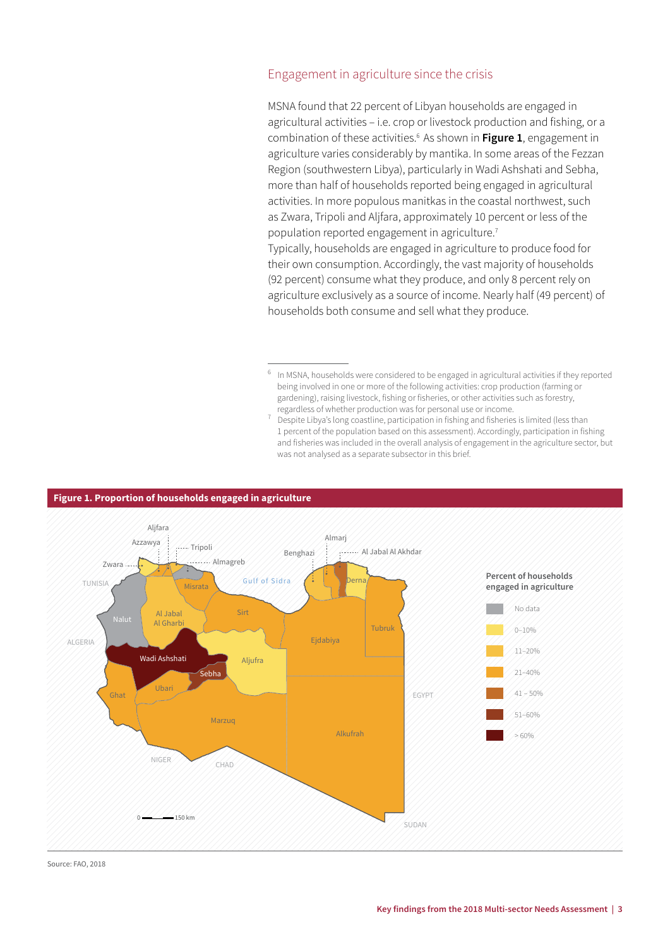## Engagement in agriculture since the crisis

MSNA found that 22 percent of Libyan households are engaged in agricultural activities – i.e. crop or livestock production and fishing, or a combination of these activities.6 As shown in **Figure 1**, engagement in agriculture varies considerably by mantika. In some areas of the Fezzan Region (southwestern Libya), particularly in Wadi Ashshati and Sebha, more than half of households reported being engaged in agricultural activities. In more populous manitkas in the coastal northwest, such as Zwara, Tripoli and Aljfara, approximately 10 percent or less of the population reported engagement in agriculture.7

Typically, households are engaged in agriculture to produce food for their own consumption. Accordingly, the vast majority of households (92 percent) consume what they produce, and only 8 percent rely on agriculture exclusively as a source of income. Nearly half (49 percent) of households both consume and sell what they produce.

- <sup>6</sup> In MSNA, households were considered to be engaged in agricultural activities if they reported being involved in one or more of the following activities: crop production (farming or gardening), raising livestock, fishing or fisheries, or other activities such as forestry, regardless of whether production was for personal use or income.
- 7 Despite Libya's long coastline, participation in fishing and fisheries is limited (less than 1 percent of the population based on this assessment). Accordingly, participation in fishing and fisheries was included in the overall analysis of engagement in the agriculture sector, but was not analysed as a separate subsector in this brief.



#### **Figure 1. Proportion of households engaged in agriculture**

Source: FAO, 2018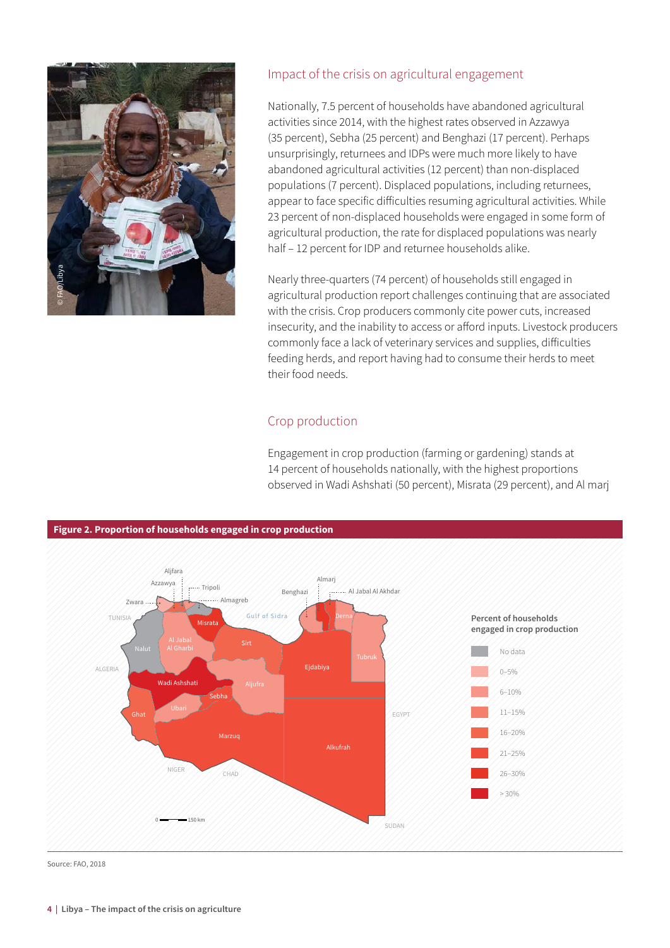

## Impact of the crisis on agricultural engagement

Nationally, 7.5 percent of households have abandoned agricultural activities since 2014, with the highest rates observed in Azzawya (35 percent), Sebha (25 percent) and Benghazi (17 percent). Perhaps unsurprisingly, returnees and IDPs were much more likely to have abandoned agricultural activities (12 percent) than non-displaced populations (7 percent). Displaced populations, including returnees, appear to face specific difficulties resuming agricultural activities. While 23 percent of non-displaced households were engaged in some form of agricultural production, the rate for displaced populations was nearly half – 12 percent for IDP and returnee households alike.

Nearly three-quarters (74 percent) of households still engaged in agricultural production report challenges continuing that are associated with the crisis. Crop producers commonly cite power cuts, increased insecurity, and the inability to access or afford inputs. Livestock producers commonly face a lack of veterinary services and supplies, difficulties feeding herds, and report having had to consume their herds to meet their food needs.

## Crop production

Engagement in crop production (farming or gardening) stands at 14 percent of households nationally, with the highest proportions observed in Wadi Ashshati (50 percent), Misrata (29 percent), and Al marj



Source: FAO, 2018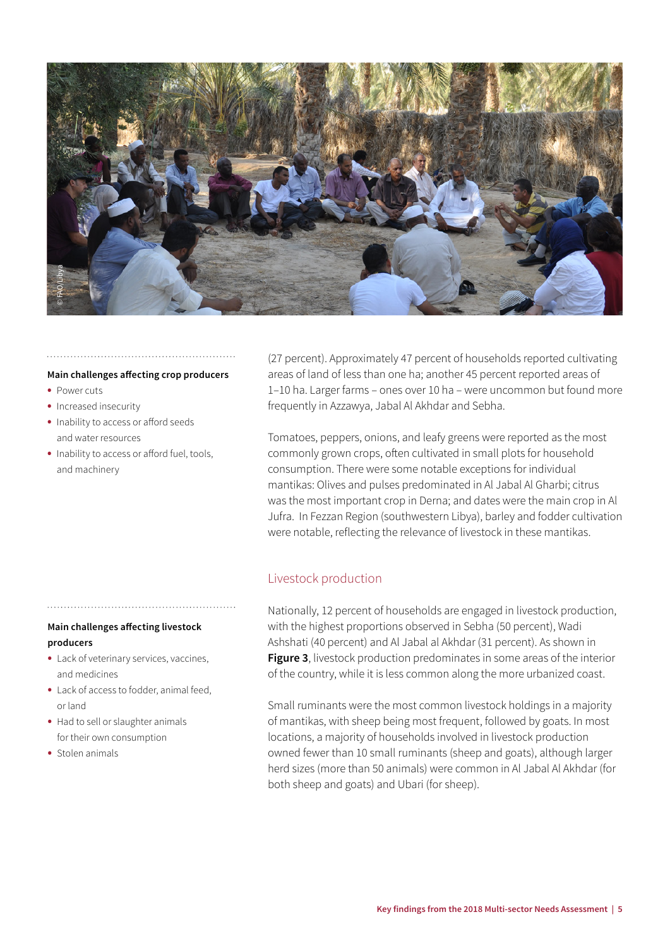

#### **Main challenges affecting crop producers**

- **•** Power cuts
- **•** Increased insecurity
- **•** Inability to access or afford seeds and water resources
- **•** Inability to access or afford fuel, tools, and machinery

(27 percent). Approximately 47 percent of households reported cultivating areas of land of less than one ha; another 45 percent reported areas of 1–10 ha. Larger farms – ones over 10 ha – were uncommon but found more frequently in Azzawya, Jabal Al Akhdar and Sebha.

Tomatoes, peppers, onions, and leafy greens were reported as the most commonly grown crops, often cultivated in small plots for household consumption. There were some notable exceptions for individual mantikas: Olives and pulses predominated in Al Jabal Al Gharbi; citrus was the most important crop in Derna; and dates were the main crop in Al Jufra. In Fezzan Region (southwestern Libya), barley and fodder cultivation were notable, reflecting the relevance of livestock in these mantikas.

## Livestock production

Nationally, 12 percent of households are engaged in livestock production, with the highest proportions observed in Sebha (50 percent), Wadi Ashshati (40 percent) and Al Jabal al Akhdar (31 percent). As shown in **Figure 3**, livestock production predominates in some areas of the interior of the country, while it is less common along the more urbanized coast.

Small ruminants were the most common livestock holdings in a majority of mantikas, with sheep being most frequent, followed by goats. In most locations, a majority of households involved in livestock production owned fewer than 10 small ruminants (sheep and goats), although larger herd sizes (more than 50 animals) were common in Al Jabal Al Akhdar (for both sheep and goats) and Ubari (for sheep).

## **Main challenges affecting livestock producers**

- **•** Lack of veterinary services, vaccines, and medicines
- **•** Lack of access to fodder, animal feed, or land
- **•** Had to sell or slaughter animals for their own consumption
- **•** Stolen animals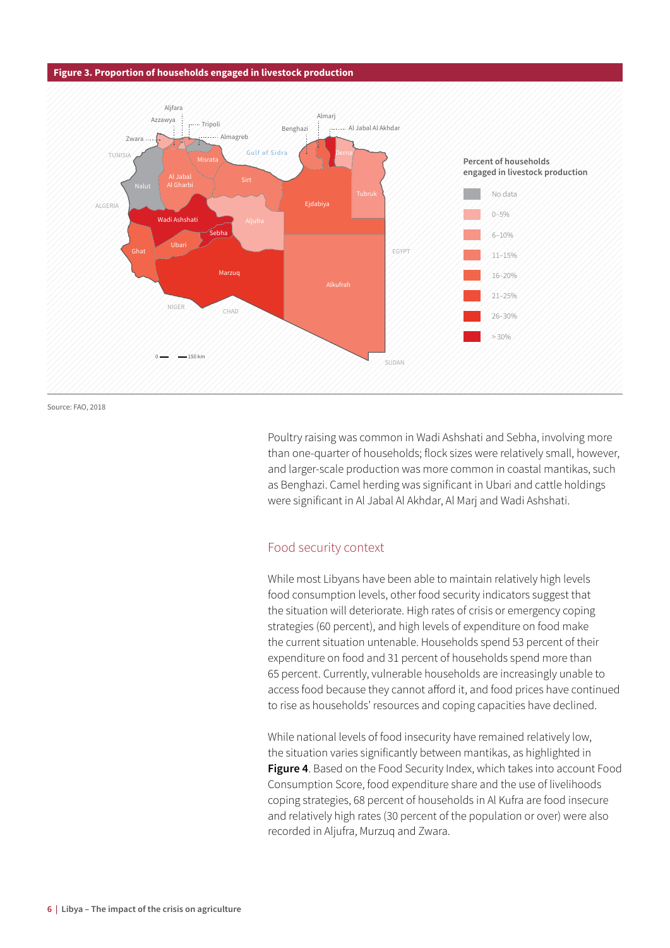#### **Figure 3. Proportion of households engaged in livestock production**



Source: FAO, 2018

Poultry raising was common in Wadi Ashshati and Sebha, involving more than one-quarter of households; flock sizes were relatively small, however, and larger-scale production was more common in coastal mantikas, such as Benghazi. Camel herding was significant in Ubari and cattle holdings were significant in Al Jabal Al Akhdar, Al Marj and Wadi Ashshati.

### Food security context

While most Libyans have been able to maintain relatively high levels food consumption levels, other food security indicators suggest that the situation will deteriorate. High rates of crisis or emergency coping strategies (60 percent), and high levels of expenditure on food make the current situation untenable. Households spend 53 percent of their expenditure on food and 31 percent of households spend more than 65 percent. Currently, vulnerable households are increasingly unable to access food because they cannot afford it, and food prices have continued to rise as households' resources and coping capacities have declined.

While national levels of food insecurity have remained relatively low, the situation varies significantly between mantikas, as highlighted in **Figure 4**. Based on the Food Security Index, which takes into account Food Consumption Score, food expenditure share and the use of livelihoods coping strategies, 68 percent of households in Al Kufra are food insecure and relatively high rates (30 percent of the population or over) were also recorded in Aljufra, Murzuq and Zwara.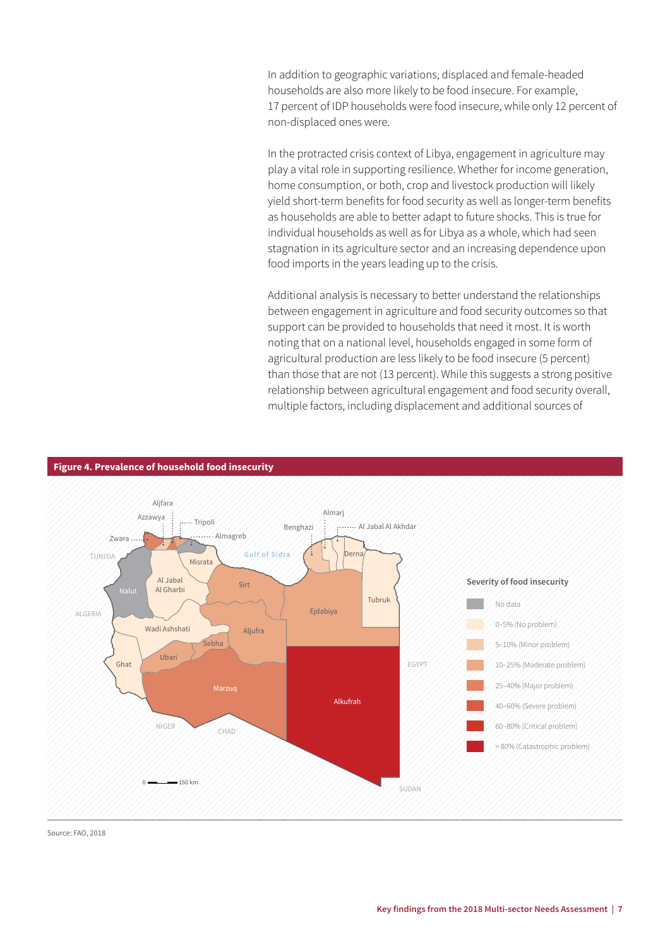In addition to geographic variations, displaced and female-headed households are also more likely to be food insecure. For example, 17 percent of IDP households were food insecure, while only 12 percent of non-displaced ones were.

In the protracted crisis context of Libya, engagement in agriculture may play a vital role in supporting resilience. Whether for income generation, home consumption, or both, crop and livestock production will likely yield short-term benefits for food security as well as longer-term benefits as households are able to better adapt to future shocks. This is true for individual households as well as for Libya as a whole, which had seen stagnation in its agriculture sector and an increasing dependence upon food imports in the years leading up to the crisis.

Additional analysis is necessary to better understand the relationships between engagement in agriculture and food security outcomes so that support can be provided to households that need it most. It is worth noting that on a national level, households engaged in some form of agricultural production are less likely to be food insecure (5 percent) than those that are not (13 percent). While this suggests a strong positive relationship between agricultural engagement and food security overall, multiple factors, including displacement and additional sources of



**Figure 4. Prevalence of household food insecurity**

Source: FAO, 2018